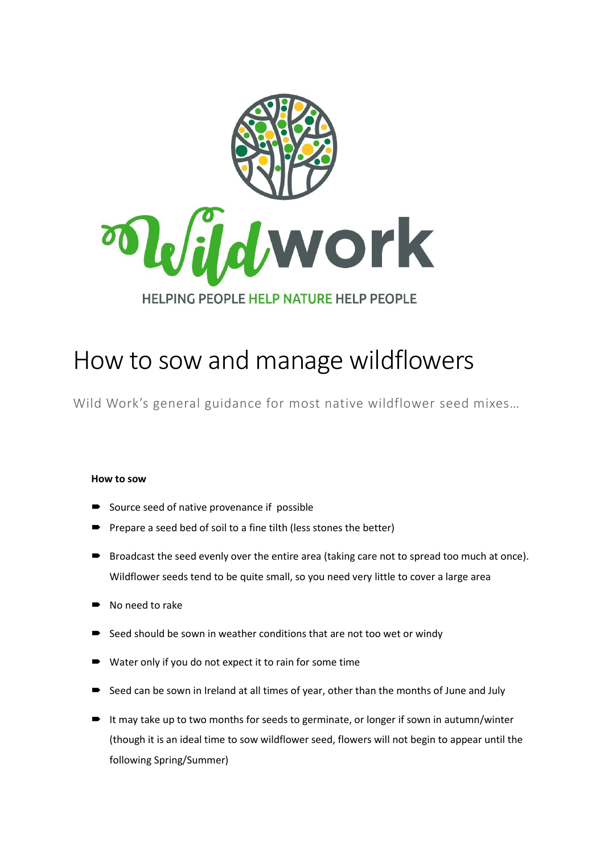

## How to sow and manage wildflowers

Wild Work's general guidance for most native wildflower seed mixes…

## **How to sow**

- Source seed of native provenance if possible
- Prepare a seed bed of soil to a fine tilth (less stones the better)
- Broadcast the seed evenly over the entire area (taking care not to spread too much at once). Wildflower seeds tend to be quite small, so you need very little to cover a large area
- No need to rake
- Seed should be sown in weather conditions that are not too wet or windy
- Water only if you do not expect it to rain for some time
- Seed can be sown in Ireland at all times of year, other than the months of June and July
- $\blacksquare$  It may take up to two months for seeds to germinate, or longer if sown in autumn/winter (though it is an ideal time to sow wildflower seed, flowers will not begin to appear until the following Spring/Summer)